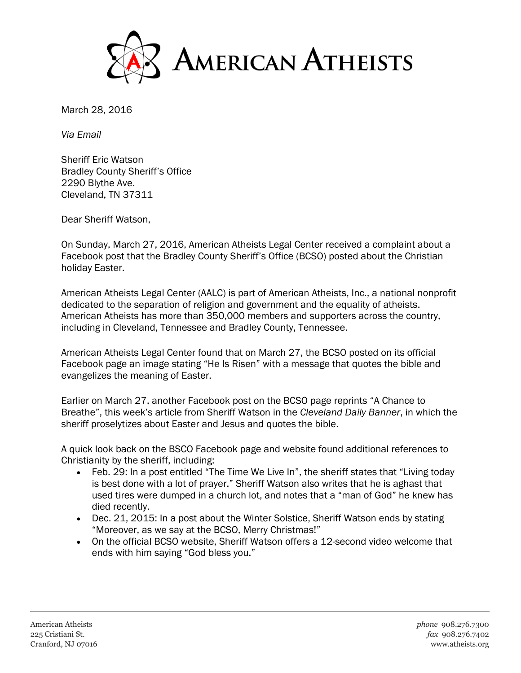

March 28, 2016

*Via Email*

Sheriff Eric Watson Bradley County Sheriff's Office 2290 Blythe Ave. Cleveland, TN 37311

Dear Sheriff Watson,

On Sunday, March 27, 2016, American Atheists Legal Center received a complaint about a Facebook post that the Bradley County Sheriff's Office (BCSO) posted about the Christian holiday Easter.

American Atheists Legal Center (AALC) is part of American Atheists, Inc., a national nonprofit dedicated to the separation of religion and government and the equality of atheists. American Atheists has more than 350,000 members and supporters across the country, including in Cleveland, Tennessee and Bradley County, Tennessee.

American Atheists Legal Center found that on March 27, the BCSO posted on its official Facebook page an image stating "He Is Risen" with a message that quotes the bible and evangelizes the meaning of Easter.

Earlier on March 27, another Facebook post on the BCSO page reprints "A Chance to Breathe", this week's article from Sheriff Watson in the *Cleveland Daily Banner*, in which the sheriff proselytizes about Easter and Jesus and quotes the bible.

A quick look back on the BSCO Facebook page and website found additional references to Christianity by the sheriff, including:

- Feb. 29: In a post entitled "The Time We Live In", the sheriff states that "Living today is best done with a lot of prayer." Sheriff Watson also writes that he is aghast that used tires were dumped in a church lot, and notes that a "man of God" he knew has died recently.
- Dec. 21, 2015: In a post about the Winter Solstice, Sheriff Watson ends by stating "Moreover, as we say at the BCSO, Merry Christmas!"
- On the official BCSO website, Sheriff Watson offers a 12-second video welcome that ends with him saying "God bless you."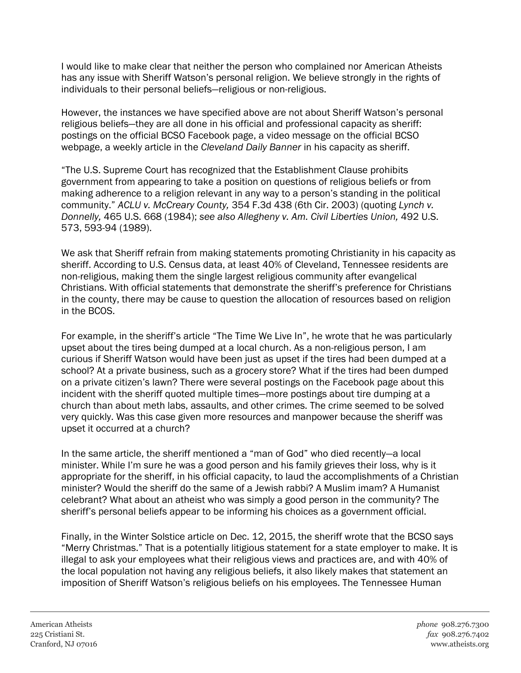I would like to make clear that neither the person who complained nor American Atheists has any issue with Sheriff Watson's personal religion. We believe strongly in the rights of individuals to their personal beliefs—religious or non-religious.

However, the instances we have specified above are not about Sheriff Watson's personal religious beliefs—they are all done in his official and professional capacity as sheriff: postings on the official BCSO Facebook page, a video message on the official BCSO webpage, a weekly article in the *Cleveland Daily Banner* in his capacity as sheriff.

"The U.S. Supreme Court has recognized that the Establishment Clause prohibits government from appearing to take a position on questions of religious beliefs or from making adherence to a religion relevant in any way to a person's standing in the political community." *ACLU v. McCreary County,* 354 F.3d 438 (6th Cir. 2003) (quoting *Lynch v. Donnelly,* 465 U.S. 668 (1984); *see also Allegheny v. Am. Civil Liberties Union,* 492 U.S. 573, 593-94 (1989).

We ask that Sheriff refrain from making statements promoting Christianity in his capacity as sheriff. According to U.S. Census data, at least 40% of Cleveland, Tennessee residents are non-religious, making them the single largest religious community after evangelical Christians. With official statements that demonstrate the sheriff's preference for Christians in the county, there may be cause to question the allocation of resources based on religion in the BCOS.

For example, in the sheriff's article "The Time We Live In", he wrote that he was particularly upset about the tires being dumped at a local church. As a non-religious person, I am curious if Sheriff Watson would have been just as upset if the tires had been dumped at a school? At a private business, such as a grocery store? What if the tires had been dumped on a private citizen's lawn? There were several postings on the Facebook page about this incident with the sheriff quoted multiple times—more postings about tire dumping at a church than about meth labs, assaults, and other crimes. The crime seemed to be solved very quickly. Was this case given more resources and manpower because the sheriff was upset it occurred at a church?

In the same article, the sheriff mentioned a "man of God" who died recently—a local minister. While I'm sure he was a good person and his family grieves their loss, why is it appropriate for the sheriff, in his official capacity, to laud the accomplishments of a Christian minister? Would the sheriff do the same of a Jewish rabbi? A Muslim imam? A Humanist celebrant? What about an atheist who was simply a good person in the community? The sheriff's personal beliefs appear to be informing his choices as a government official.

Finally, in the Winter Solstice article on Dec. 12, 2015, the sheriff wrote that the BCSO says "Merry Christmas." That is a potentially litigious statement for a state employer to make. It is illegal to ask your employees what their religious views and practices are, and with 40% of the local population not having any religious beliefs, it also likely makes that statement an imposition of Sheriff Watson's religious beliefs on his employees. The Tennessee Human